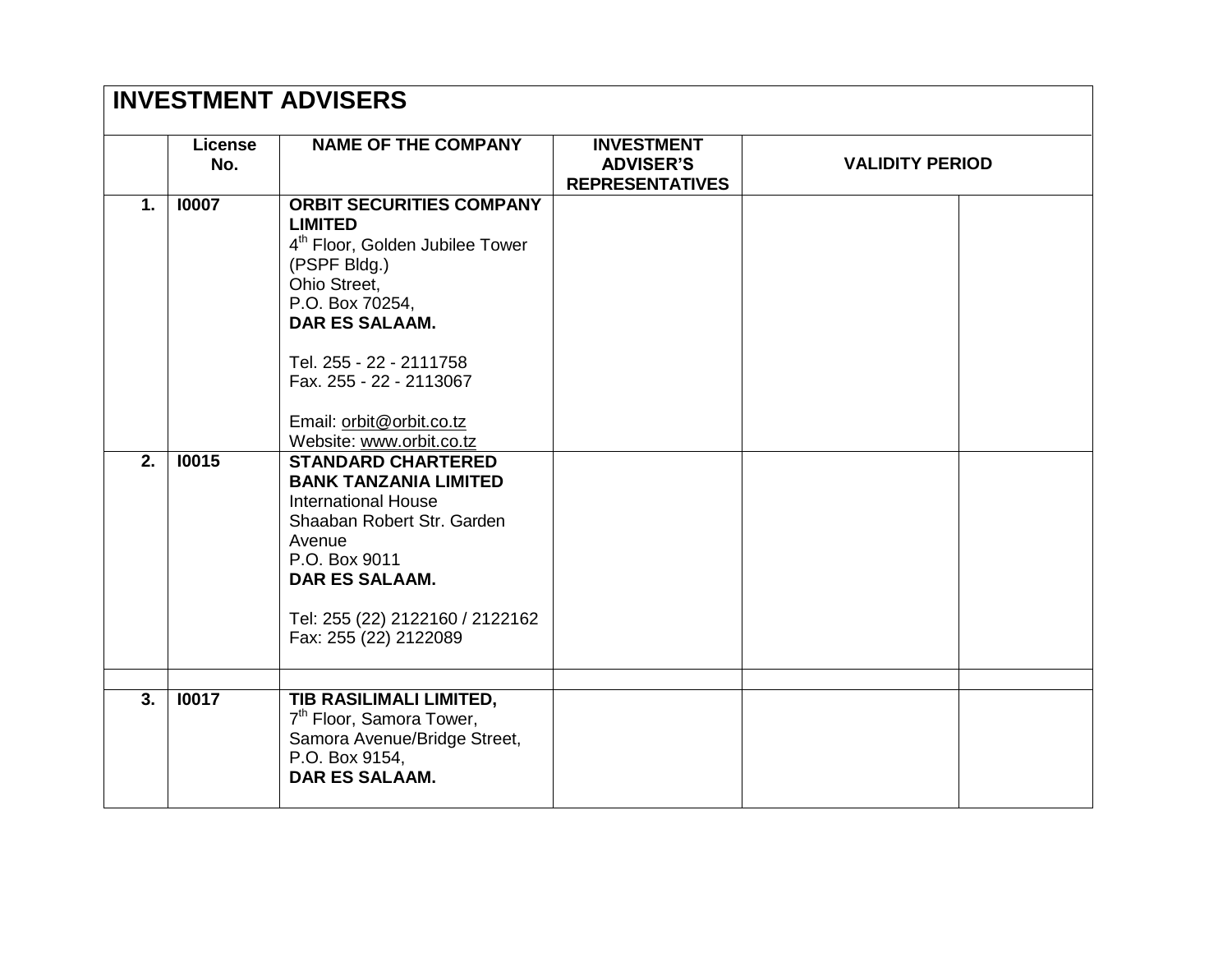| <b>INVESTMENT ADVISERS</b> |                       |                                                                                                                                                                                                              |                                                                 |                        |  |
|----------------------------|-----------------------|--------------------------------------------------------------------------------------------------------------------------------------------------------------------------------------------------------------|-----------------------------------------------------------------|------------------------|--|
|                            | <b>License</b><br>No. | <b>NAME OF THE COMPANY</b>                                                                                                                                                                                   | <b>INVESTMENT</b><br><b>ADVISER'S</b><br><b>REPRESENTATIVES</b> | <b>VALIDITY PERIOD</b> |  |
| $\mathbf{1}$ .             | 10007                 | <b>ORBIT SECURITIES COMPANY</b><br><b>LIMITED</b><br>4 <sup>th</sup> Floor, Golden Jubilee Tower<br>(PSPF Bldg.)<br>Ohio Street,<br>P.O. Box 70254,<br><b>DAR ES SALAAM.</b>                                 |                                                                 |                        |  |
|                            |                       | Tel. 255 - 22 - 2111758<br>Fax. 255 - 22 - 2113067<br>Email: orbit@orbit.co.tz<br>Website: www.orbit.co.tz                                                                                                   |                                                                 |                        |  |
| $\overline{2}$ .           | 10015                 | <b>STANDARD CHARTERED</b><br><b>BANK TANZANIA LIMITED</b><br><b>International House</b><br>Shaaban Robert Str. Garden<br>Avenue<br>P.O. Box 9011<br><b>DAR ES SALAAM.</b><br>Tel: 255 (22) 2122160 / 2122162 |                                                                 |                        |  |
|                            |                       | Fax: 255 (22) 2122089                                                                                                                                                                                        |                                                                 |                        |  |
| 3.                         | 10017                 | <b>TIB RASILIMALI LIMITED,</b><br>7 <sup>th</sup> Floor, Samora Tower,<br>Samora Avenue/Bridge Street,<br>P.O. Box 9154,<br><b>DAR ES SALAAM.</b>                                                            |                                                                 |                        |  |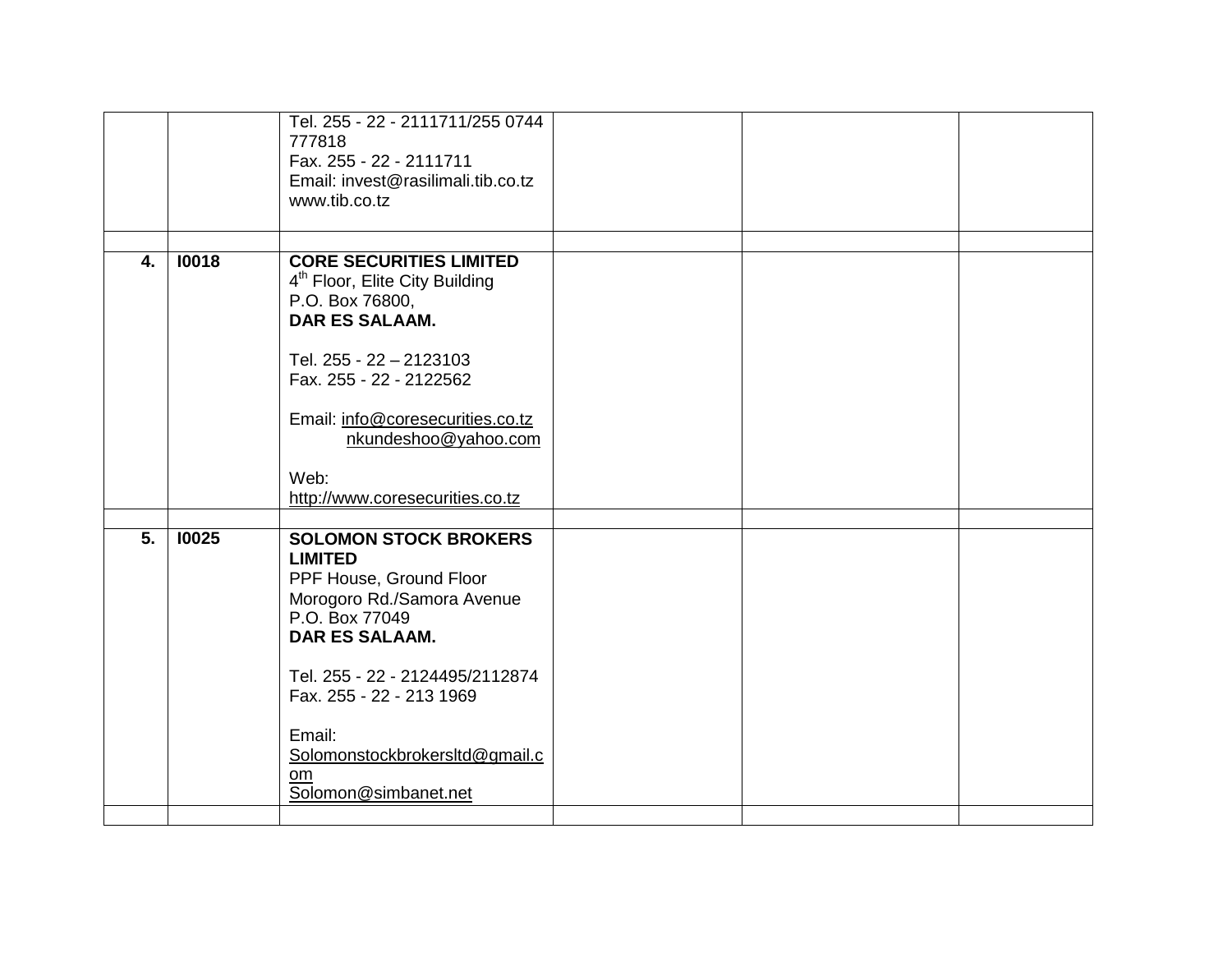|                  |       | Tel. 255 - 22 - 2111711/255 0744<br>777818<br>Fax. 255 - 22 - 2111711<br>Email: invest@rasilimali.tib.co.tz<br>www.tib.co.tz |  |  |
|------------------|-------|------------------------------------------------------------------------------------------------------------------------------|--|--|
|                  |       |                                                                                                                              |  |  |
| 4.               | 10018 | <b>CORE SECURITIES LIMITED</b><br>4 <sup>th</sup> Floor, Elite City Building<br>P.O. Box 76800,<br><b>DAR ES SALAAM.</b>     |  |  |
|                  |       | Tel. 255 - 22 - 2123103<br>Fax. 255 - 22 - 2122562                                                                           |  |  |
|                  |       | Email: info@coresecurities.co.tz<br>nkundeshoo@yahoo.com                                                                     |  |  |
|                  |       | Web:<br>http://www.coresecurities.co.tz                                                                                      |  |  |
| $\overline{5}$ . | 10025 | <b>SOLOMON STOCK BROKERS</b>                                                                                                 |  |  |
|                  |       | <b>LIMITED</b><br>PPF House, Ground Floor<br>Morogoro Rd./Samora Avenue<br>P.O. Box 77049<br><b>DAR ES SALAAM.</b>           |  |  |
|                  |       | Tel. 255 - 22 - 2124495/2112874<br>Fax. 255 - 22 - 213 1969                                                                  |  |  |
|                  |       | Email:<br>Solomonstockbrokersltd@gmail.c<br>om<br>Solomon@simbanet.net                                                       |  |  |
|                  |       |                                                                                                                              |  |  |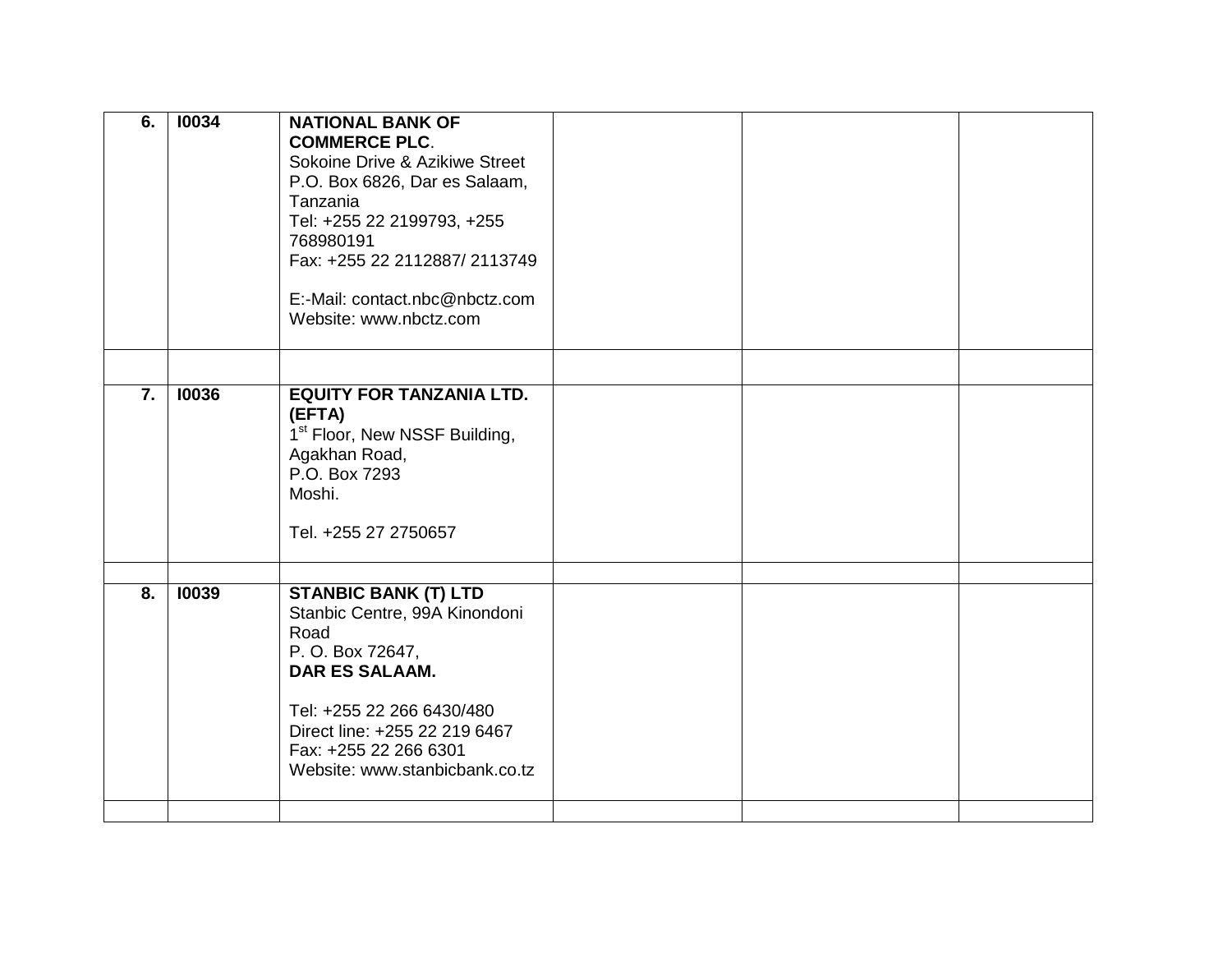| 6. | 10034 | <b>NATIONAL BANK OF</b><br><b>COMMERCE PLC.</b><br>Sokoine Drive & Azikiwe Street<br>P.O. Box 6826, Dar es Salaam,<br>Tanzania<br>Tel: +255 22 2199793, +255                                                                               |  |  |
|----|-------|--------------------------------------------------------------------------------------------------------------------------------------------------------------------------------------------------------------------------------------------|--|--|
|    |       | 768980191<br>Fax: +255 22 2112887/ 2113749<br>E:-Mail: contact.nbc@nbctz.com<br>Website: www.nbctz.com                                                                                                                                     |  |  |
|    |       |                                                                                                                                                                                                                                            |  |  |
| 7. | 10036 | <b>EQUITY FOR TANZANIA LTD.</b><br>(EFTA)<br>1 <sup>st</sup> Floor, New NSSF Building,<br>Agakhan Road,<br>P.O. Box 7293<br>Moshi.<br>Tel. +255 27 2750657                                                                                 |  |  |
| 8. | 10039 | <b>STANBIC BANK (T) LTD</b><br>Stanbic Centre, 99A Kinondoni<br>Road<br>P. O. Box 72647,<br><b>DAR ES SALAAM.</b><br>Tel: +255 22 266 6430/480<br>Direct line: +255 22 219 6467<br>Fax: +255 22 266 6301<br>Website: www.stanbicbank.co.tz |  |  |
|    |       |                                                                                                                                                                                                                                            |  |  |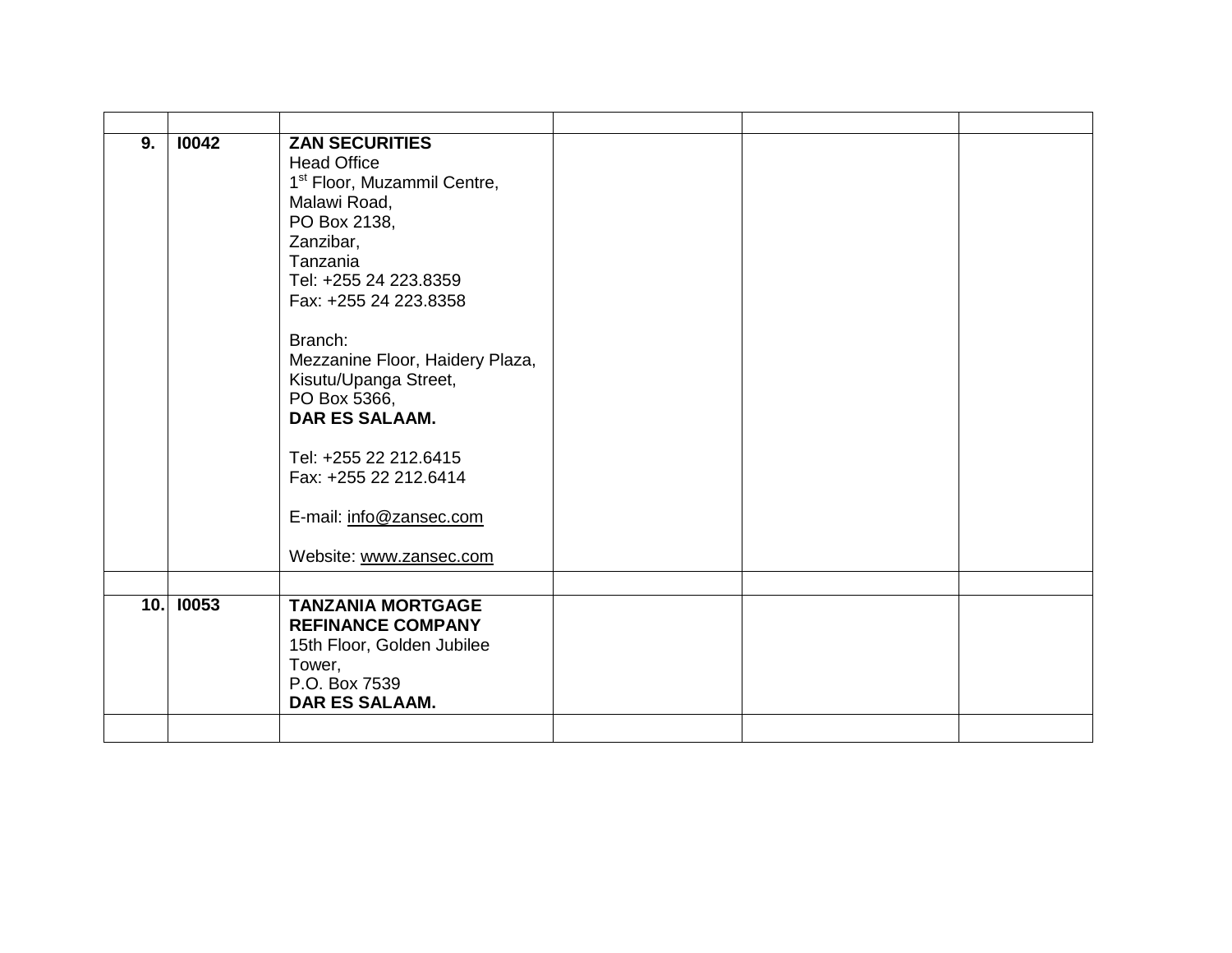| 10042 | <b>ZAN SECURITIES</b><br><b>Head Office</b><br>1 <sup>st</sup> Floor, Muzammil Centre,<br>Malawi Road,<br>PO Box 2138,<br>Zanzibar,<br>Tanzania<br>Tel: +255 24 223.8359<br>Fax: +255 24 223.8358<br>Branch:<br>Mezzanine Floor, Haidery Plaza,<br>Kisutu/Upanga Street,<br>PO Box 5366,<br><b>DAR ES SALAAM.</b><br>Tel: +255 22 212.6415<br>Fax: +255 22 212.6414<br>E-mail: info@zansec.com<br>Website: www.zansec.com |                          |  |
|-------|---------------------------------------------------------------------------------------------------------------------------------------------------------------------------------------------------------------------------------------------------------------------------------------------------------------------------------------------------------------------------------------------------------------------------|--------------------------|--|
|       |                                                                                                                                                                                                                                                                                                                                                                                                                           |                          |  |
|       | <b>REFINANCE COMPANY</b><br>15th Floor, Golden Jubilee<br>Tower,<br>P.O. Box 7539<br>DAR ES SALAAM.                                                                                                                                                                                                                                                                                                                       |                          |  |
|       | 10. 10053                                                                                                                                                                                                                                                                                                                                                                                                                 | <b>TANZANIA MORTGAGE</b> |  |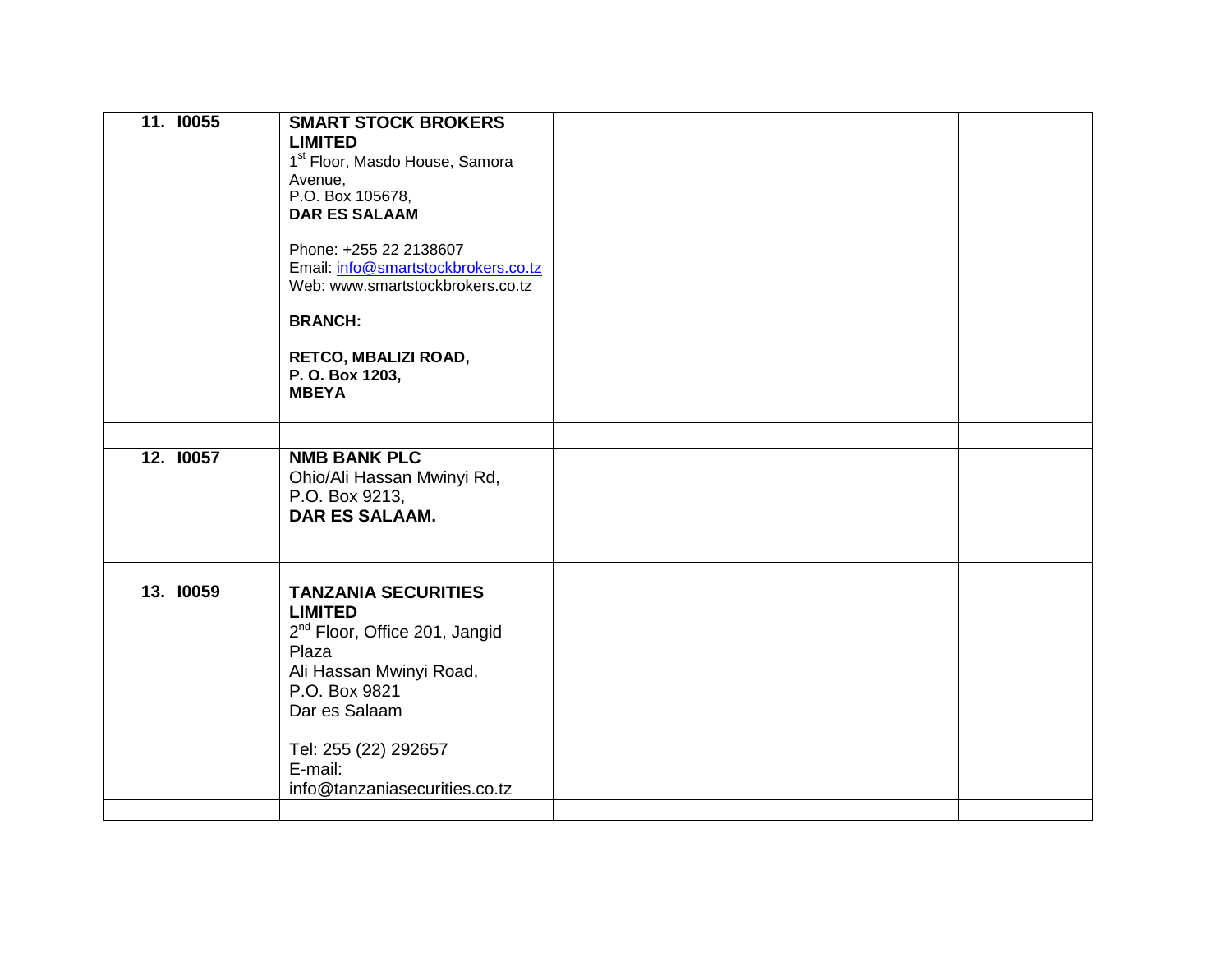| 11.1 | <b>10055</b> | <b>SMART STOCK BROKERS</b>                 |  |  |
|------|--------------|--------------------------------------------|--|--|
|      |              | <b>LIMITED</b>                             |  |  |
|      |              | 1 <sup>st</sup> Floor, Masdo House, Samora |  |  |
|      |              | Avenue,                                    |  |  |
|      |              | P.O. Box 105678,                           |  |  |
|      |              | <b>DAR ES SALAAM</b>                       |  |  |
|      |              |                                            |  |  |
|      |              | Phone: +255 22 2138607                     |  |  |
|      |              | Email: info@smartstockbrokers.co.tz        |  |  |
|      |              | Web: www.smartstockbrokers.co.tz           |  |  |
|      |              |                                            |  |  |
|      |              | <b>BRANCH:</b>                             |  |  |
|      |              |                                            |  |  |
|      |              | RETCO, MBALIZI ROAD,                       |  |  |
|      |              | P. O. Box 1203,                            |  |  |
|      |              | <b>MBEYA</b>                               |  |  |
|      |              |                                            |  |  |
|      |              |                                            |  |  |
|      | 12. 10057    | <b>NMB BANK PLC</b>                        |  |  |
|      |              | Ohio/Ali Hassan Mwinyi Rd,                 |  |  |
|      |              | P.O. Box 9213,                             |  |  |
|      |              | <b>DAR ES SALAAM.</b>                      |  |  |
|      |              |                                            |  |  |
|      |              |                                            |  |  |
|      |              |                                            |  |  |
|      | 13. 10059    | <b>TANZANIA SECURITIES</b>                 |  |  |
|      |              | <b>LIMITED</b>                             |  |  |
|      |              | 2 <sup>nd</sup> Floor, Office 201, Jangid  |  |  |
|      |              | Plaza                                      |  |  |
|      |              | Ali Hassan Mwinyi Road,                    |  |  |
|      |              | P.O. Box 9821                              |  |  |
|      |              | Dar es Salaam                              |  |  |
|      |              |                                            |  |  |
|      |              | Tel: 255 (22) 292657                       |  |  |
|      |              | E-mail:                                    |  |  |
|      |              | info@tanzaniasecurities.co.tz              |  |  |
|      |              |                                            |  |  |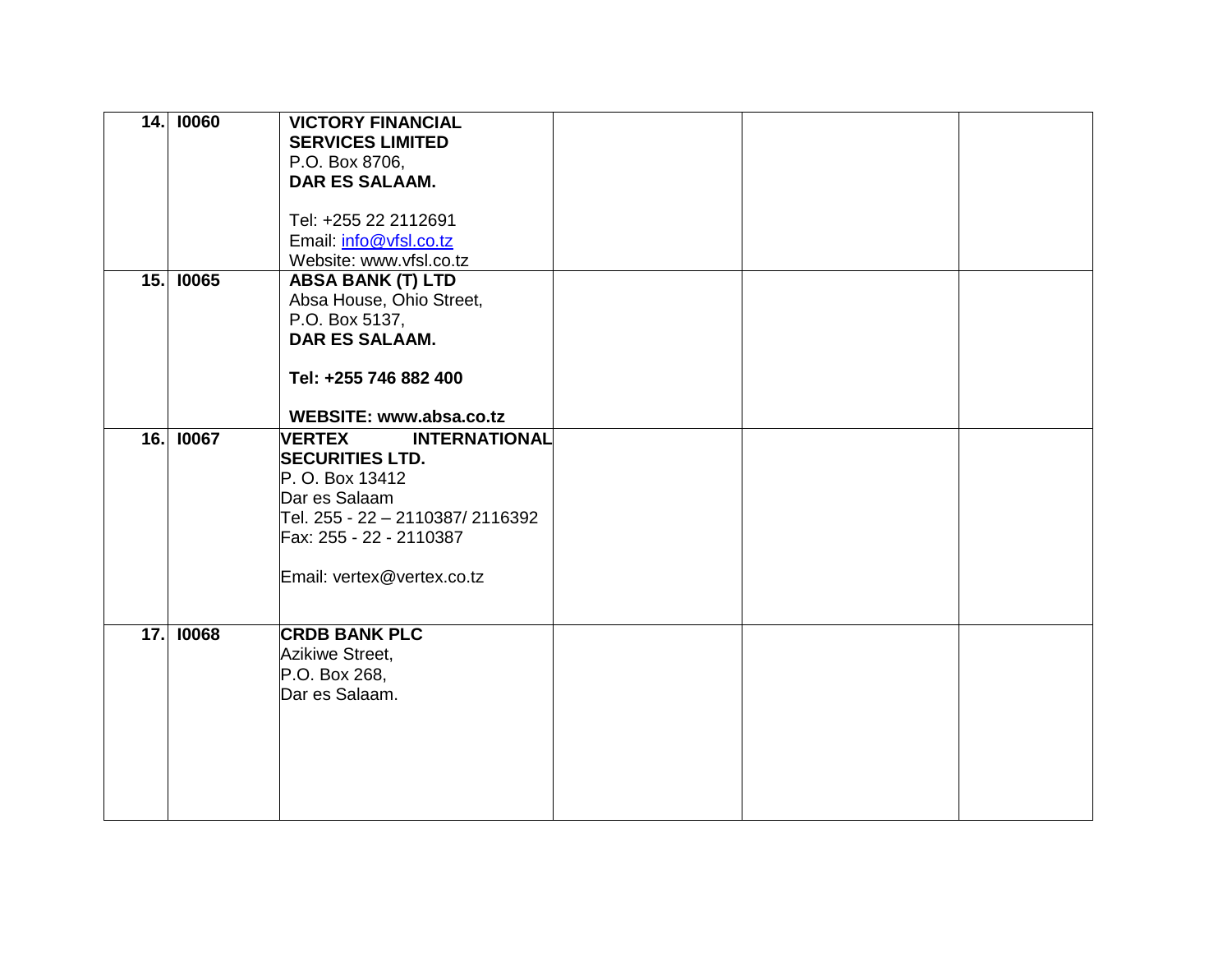| 14.  | 10060     | <b>VICTORY FINANCIAL</b><br><b>SERVICES LIMITED</b> |  |  |
|------|-----------|-----------------------------------------------------|--|--|
|      |           | P.O. Box 8706,                                      |  |  |
|      |           | DAR ES SALAAM.                                      |  |  |
|      |           |                                                     |  |  |
|      |           | Tel: +255 22 2112691                                |  |  |
|      |           | Email: info@vfsl.co.tz                              |  |  |
|      |           | Website: www.vfsl.co.tz                             |  |  |
|      | 15. 10065 | <b>ABSA BANK (T) LTD</b>                            |  |  |
|      |           | Absa House, Ohio Street,                            |  |  |
|      |           | P.O. Box 5137,                                      |  |  |
|      |           | <b>DAR ES SALAAM.</b>                               |  |  |
|      |           | Tel: +255 746 882 400                               |  |  |
|      |           |                                                     |  |  |
|      |           | <b>WEBSITE: www.absa.co.tz</b>                      |  |  |
| 16.1 | 10067     | <b>VERTEX</b><br><b>INTERNATIONAL</b>               |  |  |
|      |           | <b>SECURITIES LTD.</b>                              |  |  |
|      |           | P. O. Box 13412                                     |  |  |
|      |           | Dar es Salaam                                       |  |  |
|      |           | Tel. 255 - 22 – 2110387/ 2116392                    |  |  |
|      |           | Fax: 255 - 22 - 2110387                             |  |  |
|      |           | Email: vertex@vertex.co.tz                          |  |  |
|      |           |                                                     |  |  |
|      |           |                                                     |  |  |
| 17.  | 10068     | <b>CRDB BANK PLC</b>                                |  |  |
|      |           | Azikiwe Street,                                     |  |  |
|      |           | P.O. Box 268,                                       |  |  |
|      |           | Dar es Salaam.                                      |  |  |
|      |           |                                                     |  |  |
|      |           |                                                     |  |  |
|      |           |                                                     |  |  |
|      |           |                                                     |  |  |
|      |           |                                                     |  |  |